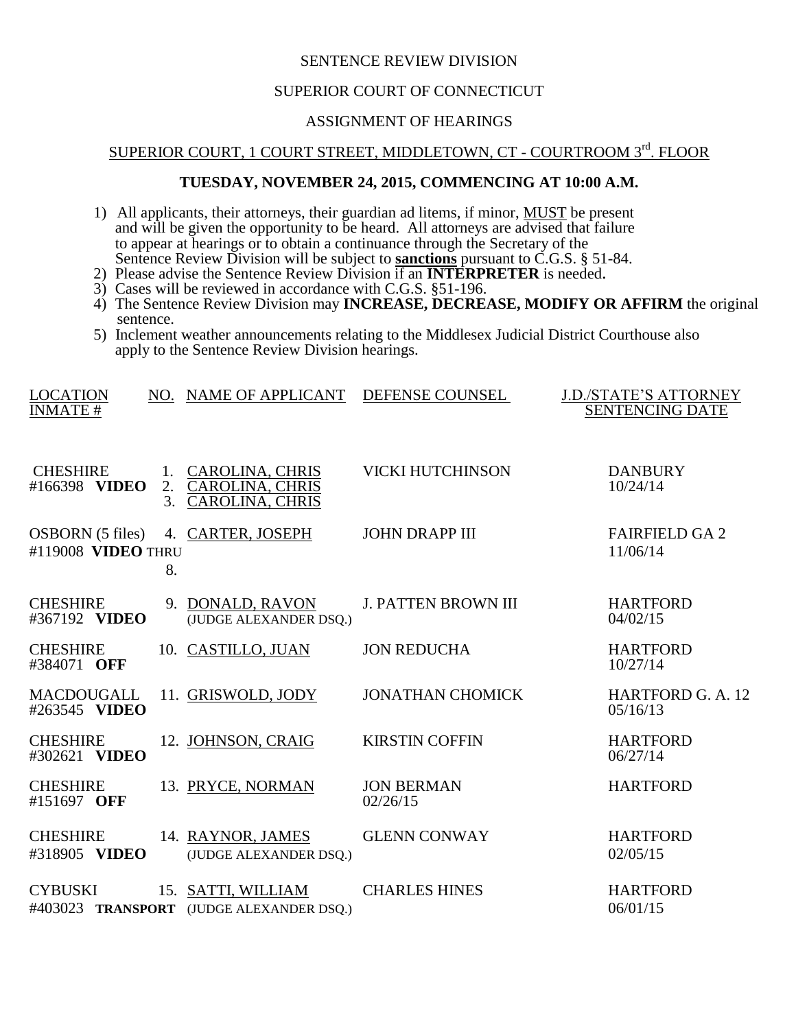## SENTENCE REVIEW DIVISION

#### SUPERIOR COURT OF CONNECTICUT

## ASSIGNMENT OF HEARINGS

# SUPERIOR COURT, 1 COURT STREET, MIDDLETOWN, CT - COURTROOM 3rd. FLOOR

### **TUESDAY, NOVEMBER 24, 2015, COMMENCING AT 10:00 A.M.**

- 1) All applicants, their attorneys, their guardian ad litems, if minor, **MUST** be present and will be given the opportunity to be heard. All attorneys are advised that failure to appear at hearings or to obtain a continuance through the Secretary of the Sentence Review Division will be subject to **sanctions** pursuant to C.G.S. § 51-84.
- 2) Please advise the Sentence Review Division if an **INTERPRETER** is needed.
- 3) Cases will be reviewed in accordance with C.G.S. §51-196.
- 4) The Sentence Review Division may **INCREASE, DECREASE, MODIFY OR AFFIRM** the original sentence.
- 5) Inclement weather announcements relating to the Middlesex Judicial District Courthouse also apply to the Sentence Review Division hearings.

| <b>LOCATION</b><br><b>INMATE#</b>             |          | NO. NAME OF APPLICANT                                                  | DEFENSE COUNSEL               | <b>J.D./STATE'S ATTORNEY</b><br><b>SENTENCING DATE</b> |
|-----------------------------------------------|----------|------------------------------------------------------------------------|-------------------------------|--------------------------------------------------------|
| <b>CHESHIRE</b><br>#166398 VIDEO              | 2.<br>3. | 1. CAROLINA, CHRIS<br><b>CAROLINA, CHRIS</b><br><b>CAROLINA, CHRIS</b> | <b>VICKI HUTCHINSON</b>       | <b>DANBURY</b><br>10/24/14                             |
| <b>OSBORN</b> (5 files)<br>#119008 VIDEO THRU | 8.       | 4. CARTER, JOSEPH                                                      | <b>JOHN DRAPP III</b>         | <b>FAIRFIELD GA 2</b><br>11/06/14                      |
| <b>CHESHIRE</b><br>#367192 VIDEO              |          | 9. DONALD, RAVON<br>(JUDGE ALEXANDER DSQ.)                             | <b>J. PATTEN BROWN III</b>    | <b>HARTFORD</b><br>04/02/15                            |
| <b>CHESHIRE</b><br>#384071 OFF                |          | 10. CASTILLO, JUAN                                                     | <b>JON REDUCHA</b>            | <b>HARTFORD</b><br>10/27/14                            |
| <b>MACDOUGALL</b><br>#263545 VIDEO            |          | 11. GRISWOLD, JODY                                                     | <b>JONATHAN CHOMICK</b>       | HARTFORD G. A. 12<br>05/16/13                          |
| <b>CHESHIRE</b><br>#302621 VIDEO              |          | 12. JOHNSON, CRAIG                                                     | <b>KIRSTIN COFFIN</b>         | <b>HARTFORD</b><br>06/27/14                            |
| <b>CHESHIRE</b><br>#151697 OFF                |          | 13. PRYCE, NORMAN                                                      | <b>JON BERMAN</b><br>02/26/15 | <b>HARTFORD</b>                                        |
| <b>CHESHIRE</b><br>#318905 VIDEO              |          | 14. RAYNOR, JAMES<br>(JUDGE ALEXANDER DSQ.)                            | <b>GLENN CONWAY</b>           | <b>HARTFORD</b><br>02/05/15                            |
| <b>CYBUSKI</b>                                |          | 15. SATTI, WILLIAM<br>#403023 TRANSPORT (JUDGE ALEXANDER DSQ.)         | <b>CHARLES HINES</b>          | <b>HARTFORD</b><br>06/01/15                            |